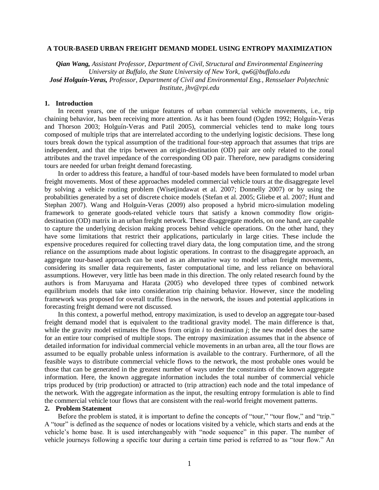### **A TOUR-BASED URBAN FREIGHT DEMAND MODEL USING ENTROPY MAXIMIZATION**

*Qian Wang, Assistant Professor, Department of Civil, Structural and Environmental Engineering University at Buffalo, the State University of New York, qw6@buffalo.edu José Holguín-Veras, Professor, Department of Civil and Environmental Eng., Rensselaer Polytechnic Institute, jhv@rpi.edu*

#### **1. Introduction**

In recent years, one of the unique features of urban commercial vehicle movements, i.e., trip chaining behavior, has been receiving more attention. As it has been found (Ogden 1992; Holguín-Veras and Thorson 2003; Holguín-Veras and Patil 2005), commercial vehicles tend to make long tours composed of multiple trips that are interrelated according to the underlying logistic decisions. These long tours break down the typical assumption of the traditional four-step approach that assumes that trips are independent, and that the trips between an origin-destination (OD) pair are only related to the zonal attributes and the travel impedance of the corresponding OD pair. Therefore, new paradigms considering tours are needed for urban freight demand forecasting.

In order to address this feature, a handful of tour-based models have been formulated to model urban freight movements. Most of these approaches modeled commercial vehicle tours at the disaggregate level by solving a vehicle routing problem (Wisetjindawat et al. 2007; Donnelly 2007) or by using the probabilities generated by a set of discrete choice models (Stefan et al. 2005; Gliebe et al. 2007; Hunt and Stephan 2007). Wang and Holguín-Veras (2009) also proposed a hybrid micro-simulation modeling framework to generate goods-related vehicle tours that satisfy a known commodity flow origindestination (OD) matrix in an urban freight network. These disaggregate models, on one hand, are capable to capture the underlying decision making process behind vehicle operations. On the other hand, they have some limitations that restrict their applications, particularly in large cities. These include the expensive procedures required for collecting travel diary data, the long computation time, and the strong reliance on the assumptions made about logistic operations. In contrast to the disaggregate approach, an aggregate tour-based approach can be used as an alternative way to model urban freight movements, considering its smaller data requirements, faster computational time, and less reliance on behavioral assumptions. However, very little has been made in this direction. The only related research found by the authors is from Maruyama and Harata (2005) who developed three types of combined network equilibrium models that take into consideration trip chaining behavior. However, since the modeling framework was proposed for overall traffic flows in the network, the issues and potential applications in forecasting freight demand were not discussed.

In this context, a powerful method, entropy maximization, is used to develop an aggregate tour-based freight demand model that is equivalent to the traditional gravity model. The main difference is that, while the gravity model estimates the flows from origin *i* to destination *j*; the new model does the same for an entire tour comprised of multiple stops. The entropy maximization assumes that in the absence of detailed information for individual commercial vehicle movements in an urban area, all the tour flows are assumed to be equally probable unless information is available to the contrary. Furthermore, of all the feasible ways to distribute commercial vehicle flows to the network, the most probable ones would be those that can be generated in the greatest number of ways under the constraints of the known aggregate information. Here, the known aggregate information includes the total number of commercial vehicle trips produced by (trip production) or attracted to (trip attraction) each node and the total impedance of the network. With the aggregate information as the input, the resulting entropy formulation is able to find the commercial vehicle tour flows that are consistent with the real-world freight movement patterns.

# **2. Problem Statement**

Before the problem is stated, it is important to define the concepts of "tour," "tour flow," and "trip." A "tour" is defined as the sequence of nodes or locations visited by a vehicle, which starts and ends at the vehicle's home base. It is used interchangeably with "node sequence" in this paper. The number of vehicle journeys following a specific tour during a certain time period is referred to as "tour flow." An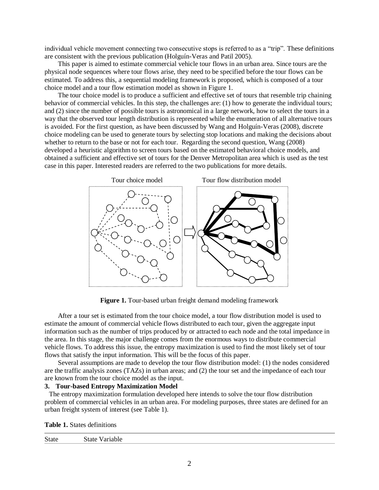individual vehicle movement connecting two consecutive stops is referred to as a "trip". These definitions are consistent with the previous publication (Holguín-Veras and Patil 2005).

This paper is aimed to estimate commercial vehicle tour flows in an urban area. Since tours are the physical node sequences where tour flows arise, they need to be specified before the tour flows can be estimated. To address this, a sequential modeling framework is proposed, which is composed of a tour choice model and a tour flow estimation model as shown in [Figure](#page-1-0) 1.

The tour choice model is to produce a sufficient and effective set of tours that resemble trip chaining behavior of commercial vehicles. In this step, the challenges are: (1) how to generate the individual tours; and (2) since the number of possible tours is astronomical in a large network, how to select the tours in a way that the observed tour length distribution is represented while the enumeration of all alternative tours is avoided. For the first question, as have been discussed by Wang and Holguín-Veras (2008), discrete choice modeling can be used to generate tours by selecting stop locations and making the decisions about whether to return to the base or not for each tour. Regarding the second question, Wang (2008) developed a heuristic algorithm to screen tours based on the estimated behavioral choice models, and obtained a sufficient and effective set of tours for the Denver Metropolitan area which is used as the test case in this paper. Interested readers are referred to the two publications for more details.



**Figure 1.** Tour-based urban freight demand modeling framework

<span id="page-1-0"></span>After a tour set is estimated from the tour choice model, a tour flow distribution model is used to estimate the amount of commercial vehicle flows distributed to each tour, given the aggregate input information such as the number of trips produced by or attracted to each node and the total impedance in the area. In this stage, the major challenge comes from the enormous ways to distribute commercial vehicle flows. To address this issue, the entropy maximization is used to find the most likely set of tour flows that satisfy the input information. This will be the focus of this paper.

Several assumptions are made to develop the tour flow distribution model: (1) the nodes considered are the traffic analysis zones (TAZs) in urban areas; and (2) the tour set and the impedance of each tour are known from the tour choice model as the input.

#### **3. Tour-based Entropy Maximization Model**

The entropy maximization formulation developed here intends to solve the tour flow distribution problem of commercial vehicles in an urban area. For modeling purposes, three states are defined for an urban freight system of interest (see [Table 1\)](#page-1-1).

<span id="page-1-1"></span>

|  |  | <b>Table 1.</b> States definitions |
|--|--|------------------------------------|
|--|--|------------------------------------|

| <b>State</b> |
|--------------|
|--------------|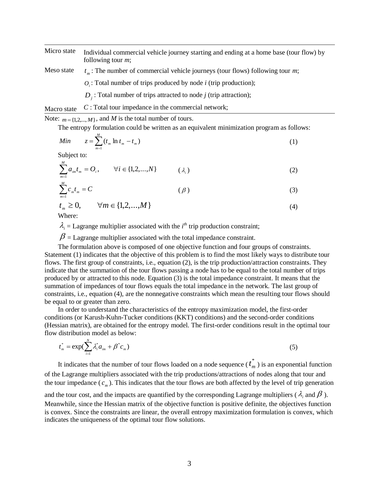Micro state Individual commercial vehicle journey starting and ending at a home base (tour flow) by following tour *m*;

- *m t* : The number of commercial vehicle journeys (tour flows) following tour *m*; Meso state
	- $O_i$ : Total number of trips produced by node *i* (trip production);
	- *Dj* : Total number of trips attracted to node *j* (trip attraction);

*C* : Total tour impedance in the commercial network; Macro state

Note:  $m = \{1, 2, ..., M\}$ , and *M* is the total number of tours.

The entropy formulation could be written as an equivalent minimization program as follows:

$$
Min \t z = \sum_{m=1}^{M} (t_m \ln t_m - t_m)
$$
\t(1)

Subject to:

$$
\sum_{m=1}^{M} a_{im} t_m = O_i, \qquad \forall i \in \{1, 2, ..., N\} \qquad (\lambda_i)
$$
 (2)

$$
\sum_{m=1}^{M} c_m t_m = C \tag{3}
$$

$$
t_m \ge 0, \qquad \forall m \in \{1, 2, \dots, M\}
$$
\n
$$
(4)
$$

Where:

 $\lambda_i$  = Lagrange multiplier associated with the *i*<sup>th</sup> trip production constraint;

 $\beta$  = Lagrange multiplier associated with the total impedance constraint.

The formulation above is composed of one objective function and four groups of constraints. Statement (1) indicates that the objective of this problem is to find the most likely ways to distribute tour flows. The first group of constraints, i.e., equation (2), is the trip production/attraction constraints. They indicate that the summation of the tour flows passing a node has to be equal to the total number of trips produced by or attracted to this node. Equation (3) is the total impedance constraint. It means that the summation of impedances of tour flows equals the total impedance in the network. The last group of constraints, i.e., equation (4), are the nonnegative constraints which mean the resulting tour flows should be equal to or greater than zero.

In order to understand the characteristics of the entropy maximization model, the first-order conditions (or Karush-Kuhn-Tucker conditions (KKT) conditions) and the second-order conditions (Hessian matrix), are obtained for the entropy model. The first-order conditions result in the optimal tour flow distribution model as below:

$$
t_m^* = \exp(\sum_{i=1}^N \lambda_i^* a_{im} + \beta^* c_m)
$$
 (5)

It indicates that the number of tour flows loaded on a node sequence ( $t_n^*$ )  $t_{m}^{*}$ ) is an exponential function of the Lagrange multipliers associated with the trip productions/attractions of nodes along that tour and the tour impedance  $(c_m)$ . This indicates that the tour flows are both affected by the level of trip generation

and the tour cost, and the impacts are quantified by the corresponding Lagrange multipliers (  $\lambda_i$  and  $\beta$  ). Meanwhile, since the Hessian matrix of the objective function is positive definite, the objectives function is convex. Since the constraints are linear, the overall entropy maximization formulation is convex, which indicates the uniqueness of the optimal tour flow solutions.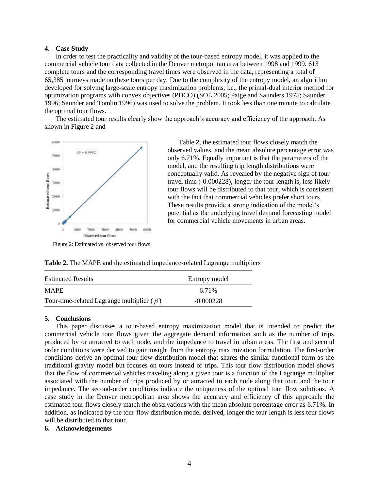# **4. Case Study**

In order to test the practicality and validity of the tour-based entropy model, it was applied to the commercial vehicle tour data collected in the Denver metropolitan area between 1998 and 1999. 613 complete tours and the corresponding travel times were observed in the data, representing a total of 65,385 journeys made on these tours per day. Due to the complexity of the entropy model, an algorithm developed for solving large-scale entropy maximization problems, i.e., the primal-dual interior method for optimization programs with convex objectives (PDCO) (SOL 2005; Paige and Saunders 1975; Saunder 1996; Saunder and Tomlin 1996) was used to solve the problem. It took less than one minute to calculate the optimal tour flows.

The estimated tour results clearly show the approach's accuracy and efficiency of the approach. As shown in [Figure 2](#page-3-0) and



<span id="page-3-1"></span>[Table](#page-3-1) **2**, the estimated tour flows closely match the observed values, and the mean absolute percentage error was only 6.71%. Equally important is that the parameters of the model, and the resulting trip length distributions were conceptually valid. As revealed by the negative sign of tour travel time (-0.000228), longer the tour length is, less likely tour flows will be distributed to that tour, which is consistent with the fact that commercial vehicles prefer short tours. These results provide a strong indication of the model's potential as the underlying travel demand forecasting model for commercial vehicle movements in urban areas.

<span id="page-3-0"></span>Figure 2: Estimated vs. observed tour flows

| <b>Estimated Results</b>                          | Entropy model |
|---------------------------------------------------|---------------|
| <b>MAPE</b>                                       | 6.71%         |
| Tour-time-related Lagrange multiplier ( $\beta$ ) | $-0.000228$   |

**Table 2.** The MAPE and the estimated impedance-related Lagrange multipliers

## **5. Conclusions**

This paper discusses a tour-based entropy maximization model that is intended to predict the commercial vehicle tour flows given the aggregate demand information such as the number of trips produced by or attracted to each node, and the impedance to travel in urban areas. The first and second order conditions were derived to gain insight from the entropy maximization formulation. The first-order conditions derive an optimal tour flow distribution model that shares the similar functional form as the traditional gravity model but focuses on tours instead of trips. This tour flow distribution model shows that the flow of commercial vehicles traveling along a given tour is a function of the Lagrange multiplier associated with the number of trips produced by or attracted to each node along that tour, and the tour impedance. The second-order conditions indicate the uniqueness of the optimal tour flow solutions. A case study in the Denver metropolitan area shows the accuracy and efficiency of this approach: the estimated tour flows closely match the observations with the mean absolute percentage error as 6.71%. In addition, as indicated by the tour flow distribution model derived, longer the tour length is less tour flows will be distributed to that tour.

# **6. Acknowledgements**